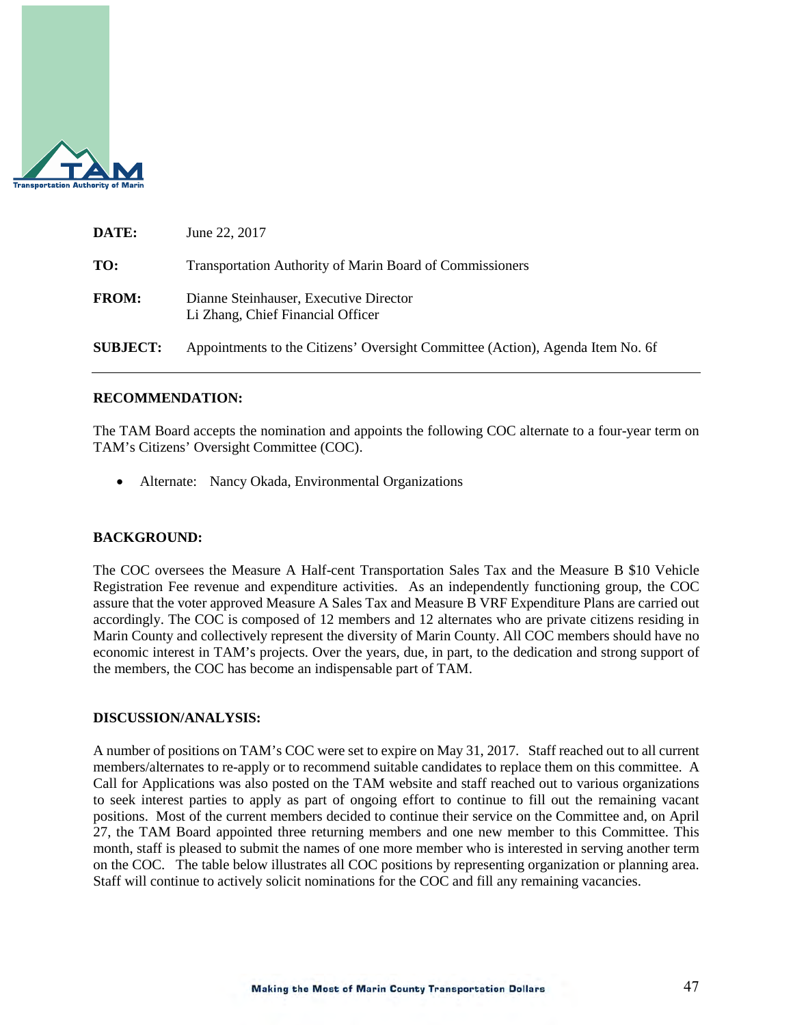

| DATE:           | June 22, 2017                                                                  |
|-----------------|--------------------------------------------------------------------------------|
| TO:             | <b>Transportation Authority of Marin Board of Commissioners</b>                |
| <b>FROM:</b>    | Dianne Steinhauser, Executive Director<br>Li Zhang, Chief Financial Officer    |
| <b>SUBJECT:</b> | Appointments to the Citizens' Oversight Committee (Action), Agenda Item No. 6f |

### **RECOMMENDATION:**

The TAM Board accepts the nomination and appoints the following COC alternate to a four-year term on TAM's Citizens' Oversight Committee (COC).

• Alternate: Nancy Okada, Environmental Organizations

### **BACKGROUND:**

The COC oversees the Measure A Half-cent Transportation Sales Tax and the Measure B \$10 Vehicle Registration Fee revenue and expenditure activities. As an independently functioning group, the COC assure that the voter approved Measure A Sales Tax and Measure B VRF Expenditure Plans are carried out accordingly. The COC is composed of 12 members and 12 alternates who are private citizens residing in Marin County and collectively represent the diversity of Marin County. All COC members should have no economic interest in TAM's projects. Over the years, due, in part, to the dedication and strong support of the members, the COC has become an indispensable part of TAM.

### **DISCUSSION/ANALYSIS:**

A number of positions on TAM's COC were set to expire on May 31, 2017. Staff reached out to all current members/alternates to re-apply or to recommend suitable candidates to replace them on this committee. A Call for Applications was also posted on the TAM website and staff reached out to various organizations to seek interest parties to apply as part of ongoing effort to continue to fill out the remaining vacant positions. Most of the current members decided to continue their service on the Committee and, on April 27, the TAM Board appointed three returning members and one new member to this Committee. This month, staff is pleased to submit the names of one more member who is interested in serving another term on the COC. The table below illustrates all COC positions by representing organization or planning area. Staff will continue to actively solicit nominations for the COC and fill any remaining vacancies.